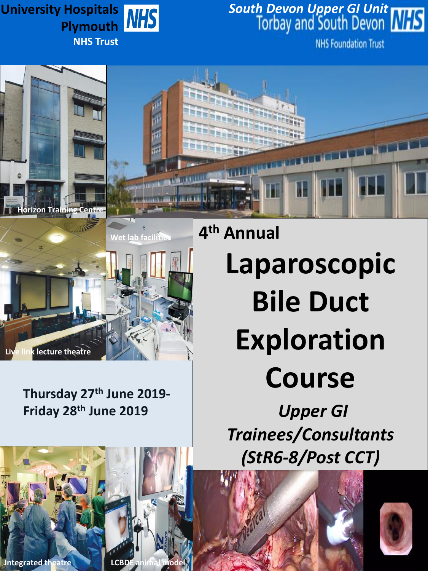# **Plymouth NHS Trust**

# **University Hospitals** *South Devon Upper GI Unit*

**NHS Foundation Trust** 





# **Thursday 27th June 2019- Friday 28th June 2019**

**4 th Annual Laparoscopic Bile Duct Exploration Course**

> *Upper GI Trainees/Consultants (StR6-8/Post CCT)*





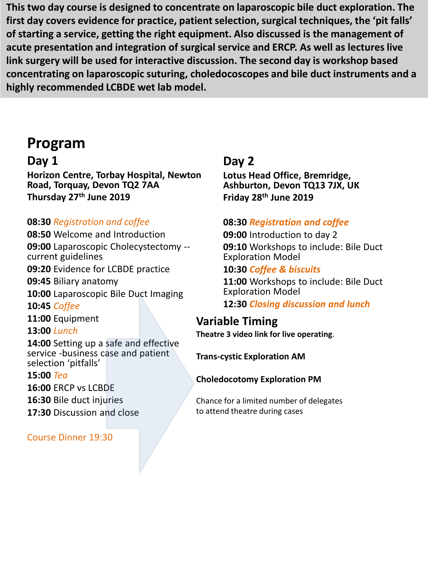**This two day course is designed to concentrate on laparoscopic bile duct exploration. The first day covers evidence for practice, patient selection, surgical techniques, the 'pit falls' of starting a service, getting the right equipment. Also discussed is the management of acute presentation and integration of surgical service and ERCP. As well as lectures live link surgery will be used for interactive discussion. The second day is workshop based concentrating on laparoscopic suturing, choledocoscopes and bile duct instruments and a highly recommended LCBDE wet lab model.**

# **Program**

# **Day 1**

**Horizon Centre, Torbay Hospital, Newton Road, Torquay, Devon TQ2 7AA Thursday 27th June 2019** 

## **08:30** *Registration and coffee*

**08:50** Welcome and Introduction **09:00** Laparoscopic Cholecystectomy - current guidelines **09:20** Evidence for LCBDE practice

**09:45** Biliary anatomy

**10:00** Laparoscopic Bile Duct Imaging

**10:45** *Coffee*

**11:00** Equipment

**13:00** *Lunch*

**14:00** Setting up a safe and effective service -business case and patient selection 'pitfalls'

**15:00** *Tea*

**16:00** ERCP vs LCBDE

**16:30** Bile duct injuries

**17:30** Discussion and close

Course Dinner 19:30

# **Day 2**

**Lotus Head Office, Bremridge, Ashburton, Devon TQ13 7JX, UK Friday 28th June 2019**

### **08:30** *Registration and coffee*

**09:00** Introduction to day 2 **09:10** Workshops to include: Bile Duct Exploration Model

#### **10:30** *Coffee & biscuits*

**11:00** Workshops to include: Bile Duct Exploration Model

**12:30** *Closing discussion and lunch*

## **Variable Timing**

**Theatre 3 video link for live operating**.

**Trans-cystic Exploration AM**

#### **Choledocotomy Exploration PM**

Chance for a limited number of delegates to attend theatre during cases